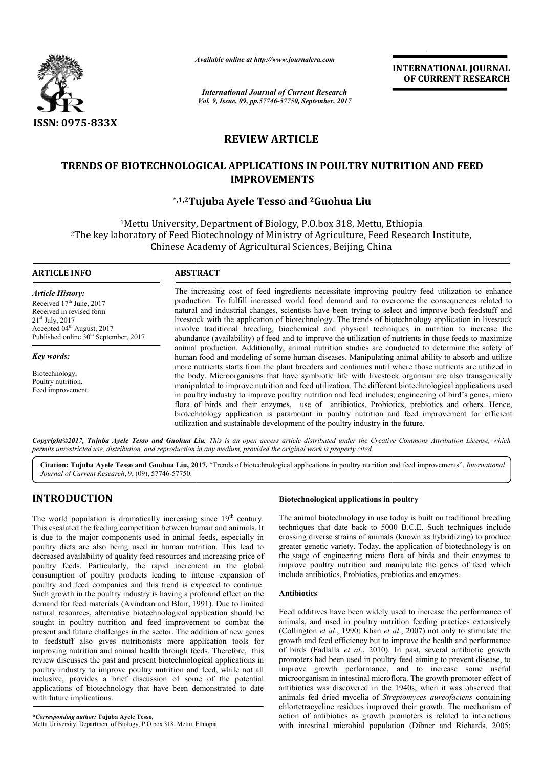

*Available online at http://www.journalcra.com*

*International Journal of Current Research Vol. 9, Issue, 09, pp.57746-57750, September, 2017* **INTERNATIONAL JOURNAL OF CURRENT RESEARCH**

# **REVIEW ARTICLE**

# **TRENDS OF BIOTECHNOLOGICAL APPLICATIONS IN POULTRY NUTRITION AND FEED FEED IMPROVEMENTS**

# **\*,1,2Tujuba Ayele Tesso Tujuba and 2Guohua Liu**

<sup>1</sup>Mettu University, Department of Biology, P.O.box 318, Mettu, Ethiopia <sup>2</sup>The key laboratory of Feed Biotechnology of Ministry of Agriculture, Feed Research Institute, Chinese Academy of Agricultural Sciences, Beijing, China

# **ARTICLE INFO ABSTRACT**

*Article History:* Received 17<sup>th</sup> June, 2017 Received in revised form 21st July, 2017 Accepted 04<sup>th</sup> August, 2017 Published online  $30<sup>th</sup>$  September, 2017

*Key words:*

Biotechnology, Poultry nutrition, Feed improvement.

The increasing cost of feed ingredients necessitate improving poultry feed utilization to enhance production. To fulfill increased world food demand and to overcome the consequences related to natural and industrial changes, scientists have been trying to select and improve both feedstuff and livestock with the application of biotechnology. The trends of biotechnology application in livestock involve traditional breeding, biochemical and physical techniques in nutrition to increase the abundance (availability) of feed and to improve the utilization of nutrients in those feeds to maximize animal production. Additionally, animal nutrition studies are conducted to determine the safety of The increasing cost of feed ingredients necessitate improving poultry feed utilization to enhance<br>production. To fulfill increased world food demand and to overcome the consequences related to<br>natural and industrial change more nutrients starts from the plant breeders and continues until where those nutrients are utilized in the body. Microorganisms that have symbiotic life with livestock organism are also transgenically manipulated to improve nutrition and feed utilization. The different biotechnological applications used in poultry industry to improve poultry nutrition and feed includes; engineering of bird's genes, micro more nutrients starts from the plant breeders and continues until where those nutrients are utilized in the body. Microorganisms that have symbiotic life with livestock organism are also transgenically manipulated to impro biotechnology application is paramount in poultry nutrition and feed improvement for efficient biotechnology application is paramount in poultry nutrition and feed in utilization and sustainable development of the poultry industry in the future. intestinal microbial

Copyright©2017, Tujuba Ayele Tesso and Guohua Liu. This is an open access article distributed under the Creative Commons Attribution License, which permits unrestricted use, distribution, and reproduction in any medium, provided the original work is properly cited.

Citation: Tujuba Ayele Tesso and Guohua Liu, 2017. "Trends of biotechnological applications in poultry nutrition and feed improvements", *International Journal of Current Research*, 9, (09), 57746-57750.

# **INTRODUCTION**

The world population is dramatically increasing since 19<sup>th</sup> century. This escalated the feeding competition between human and animals. It is due to the major components used in animal feeds, especially in poultry diets are also being used in human nutrition. This lead to decreased availability of quality feed resources and increasing price of poultry feeds. Particularly, the rapid increment in the global consumption of poultry products leading to intense expansion of poultry and feed companies and this trend is expected to continue. Such growth in the poultry industry is having a profound effect on the demand for feed materials (Avindran and Blair, 1991). Due to limited natural resources, alternative biotechnological application should be sought in poultry nutrition and feed improvement to combat the present and future challenges in the sector. The addition of new genes to feedstuff also gives nutritionists more application tools for improving nutrition and animal health through feeds. Therefore, this review discusses the past and present biotechnological applications in poultry industry to improve poultry nutrition and feed, while not all inclusive, provides a brief discussion of some of the potential applications of biotechnology that have been demonstrated to date with future implications. d availability of quality feed resources and increasing price of feeds. Particularly, the rapid increment in the global botion of poultry products leading to intense expansion of and feed companies and this trend is expect

**Biotechnological applications in poultry**<br>
In g since 19<sup>th</sup> century. The animal biotechnology in use today is<br>
human and animals. It<br>
techniques that date back to 5000 B.C.<br>
al feeds, especially in crossing diverse strai The animal biotechnology in use today is built on traditional breeding techniques that date back to 5000 B.C.E. Such techniques include crossing diverse strains of animals (known as hybridizing) to produce The animal biotechnology in use today is built on traditional breeding techniques that date back to 5000 B.C.E. Such techniques include crossing diverse strains of animals (known as hybridizing) to produce greater genetic the stage of engineering micro flora of birds and their enzymes to improve poultry nutrition and manipulate the genes of feed which the stage of engineering micro flora of birds and the improve poultry nutrition and manipulate the genes include antibiotics, Probiotics, prebiotics and enzymes.

# **Antibiotics**

Feed additives have been widely used to increase the performance of Feed additives have been widely used to increase the performance of animals, and used in poultry nutrition feeding practices extensively (Collington *et al.*, 1990; Khan *et al.*, 2007) not only to stimulate the growth and feed efficiency but to improve the health and performance of birds (Fadlalla *et al*., 2010). In past, several antibiotic growth promoters had been used in poultry feed aiming to prevent disease, to improve growth performance, and to increase some useful microorganism in intestinal microflora. The growth promoter effect of antibiotics was discovered in the 1940s, when it was observed that animals fed dried mycelia of *Streptomyces aureofaciens aureofaciens* containing chlortetracycline residues improved their growth. The mechanism of chlortetracycline residues improved their growth. The mechanism of action of antibiotics as growth promoters is related to interactions with intestinal microbial population (Dibner and Richards, 2005; but and feed efficiency but to improve the health and performance birds (Fadlalla *et al.*, 2010). In past, several antibiotic growth pomoters had been used in poultry feed aiming to prevent disease, to prove growth perfor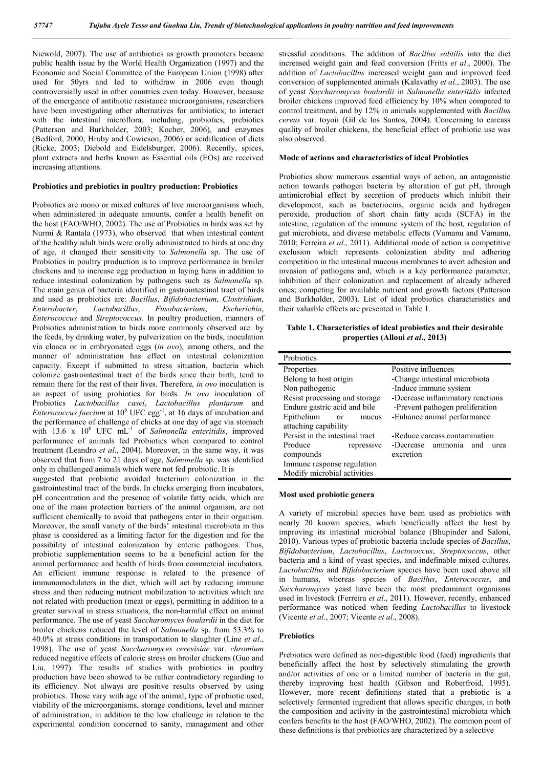Niewold, 2007). The use of antibiotics as growth promoters became public health issue by the World Health Organization (1997) and the Economic and Social Committee of the European Union (1998) after used for 50yrs and led to withdraw in 2006 even though controversially used in other countries even today. However, because of the emergence of antibiotic resistance microorganisms, researchers have been investigating other alternatives for antibiotics; to interact with the intestinal microflora, including, probiotics, prebiotics (Patterson and Burkholder, 2003; Kocher, 2006), and enzymes (Bedford, 2000; Hruby and Cowieson, 2006) or acidification of diets (Ricke, 2003; Diebold and Eidelsburger, 2006). Recently, spices, plant extracts and herbs known as Essential oils (EOs) are received increasing attentions.

#### **Probiotics and prebiotics in poultry production: Probiotics**

Probiotics are mono or mixed cultures of live microorganisms which, when administered in adequate amounts, confer a health benefit on the host (FAO/WHO, 2002). The use of Probiotics in birds was set by Nurmi & Rantala (1973), who observed that when intestinal content of the healthy adult birds were orally administrated to birds at one day of age, it changed their sensitivity to *Salmonella* sp. The use of Probiotics in poultry production is to improve performance in broiler chickens and to increase egg production in laying hens in addition to reduce intestinal colonization by pathogens such as *Salmonella* sp. The main genus of bacteria identified in gastrointestinal tract of birds and used as probiotics are: *Bacillus*, *Bifidobacterium*, *Clostridium*, *Enterobacter*, *Lactobacillus*, *Fusobacterium*, *Escherichia*, *Enterococcus* and *Streptococcus*. In poultry production, manners of Probiotics administration to birds more commonly observed are: by the feeds, by drinking water, by pulverization on the birds, inoculation via cloaca or in embryonated eggs (*in ovo*), among others, and the manner of administration has effect on intestinal colonization capacity. Except if submitted to stress situation, bacteria which colonize gastrointestinal tract of the birds since their birth, tend to remain there for the rest of their lives. Therefore*, in ovo* inoculation is an aspect of using probiotics for birds*. In ovo* inoculation of Probiotics *Lactobacillus casei*, *Lactobacillus plantarum* and *Enterococcus faecium* at  $10^6$  UFC egg<sup>-1</sup>, at 16 days of incubation and the performance of challenge of chicks at one day of age via stomach with 13.6 x 10<sup>6</sup> UFC mL<sup>-1</sup> of *Salmonella enteritidis*, improved performance of animals fed Probiotics when compared to control treatment (Leandro *et al*., 2004). Moreover, in the same way, it was observed that from 7 to 21 days of age, *Salmonella* sp. was identified only in challenged animals which were not fed probiotic. It is

suggested that probiotic avoided bacterium colonization in the gastrointestinal tract of the birds. In chicks emerging from incubators, pH concentration and the presence of volatile fatty acids, which are one of the main protection barriers of the animal organism, are not sufficient chemically to avoid that pathogens enter in their organism. Moreover, the small variety of the birds' intestinal microbiota in this phase is considered as a limiting factor for the digestion and for the possibility of intestinal colonization by enteric pathogens. Thus, probiotic supplementation seems to be a beneficial action for the animal performance and health of birds from commercial incubators. An efficient immune response is related to the presence of immunomodulaters in the diet, which will act by reducing immune stress and then reducing nutrient mobilization to activities which are not related with production (meat or eggs), permitting in addition to a greater survival in stress situations, the non-harmful effect on animal performance. The use of yeast *Saccharomyces boulardii* in the diet for broiler chickens reduced the level of *Salmonella* sp. from 53.3% to 40.0% at stress conditions in transportation to slaughter (Line *et al*., 1998). The use of yeast *Saccharomyces cerevisiae* var. *chromium*  reduced negative effects of caloric stress on broiler chickens (Guo and Liu, 1997). The results of studies with probiotics in poultry production have been showed to be rather contradictory regarding to its efficiency. Not always are positive results observed by using probiotics. Those vary with age of the animal, type of probiotic used, viability of the microorganisms, storage conditions, level and manner of administration, in addition to the low challenge in relation to the experimental condition concerned to sanity, management and other

stressful conditions. The addition of *Bacillus subtilis* into the diet increased weight gain and feed conversion (Fritts *et al*., 2000). The addition of *Lactobacillus* increased weight gain and improved feed conversion of supplemented animals (Kalavathy *et al*., 2003). The use of yeast *Saccharomyces boulardii* in *Salmonella enteritidis* infected broiler chickens improved feed efficiency by 10% when compared to control treatment, and by 12% in animals supplemented with *Bacillus cereus* var. toyoii (Gil de los Santos, 2004). Concerning to carcass quality of broiler chickens, the beneficial effect of probiotic use was also observed.

#### **Mode of actions and characteristics of ideal Probiotics**

Probiotics show numerous essential ways of action, an antagonistic action towards pathogen bacteria by alteration of gut pH, through antimicrobial effect by secretion of products which inhibit their development, such as bacteriocins, organic acids and hydrogen peroxide, production of short chain fatty acids (SCFA) in the intestine, regulation of the immune system of the host, regulation of gut microbiota, and diverse metabolic effects (Vamanu and Vamanu, 2010; Ferreira *et al*., 2011). Additional mode of action is competitive exclusion which represents colonization ability and adhering competition in the intestinal mucous membranes to avert adhesion and invasion of pathogens and, which is a key performance parameter, inhibition of their colonization and replacement of already adhered ones; competing for available nutrient and growth factors (Patterson and Burkholder, 2003). List of ideal probiotics characteristics and their valuable effects are presented in Table 1.

**Table 1. Characteristics of ideal probiotics and their desirable properties (Alloui** *et al***., 2013)**

| Probiotics                           |                                  |  |
|--------------------------------------|----------------------------------|--|
| Properties                           | Positive influences              |  |
| Belong to host origin                | -Change intestinal microbiota    |  |
| Non pathogenic                       | -Induce immune system            |  |
| Resist processing and storage        | -Decrease inflammatory reactions |  |
| Endure gastric acid and bile         | -Prevent pathogen proliferation  |  |
| Epithelium<br>mucus<br><sub>or</sub> | -Enhance animal performance      |  |
| attaching capability                 |                                  |  |
| Persist in the intestinal tract      | -Reduce carcass contamination    |  |
| Produce<br>repressive                | -Decrease ammonia<br>and<br>urea |  |
| compounds                            | excretion                        |  |
| Immune response regulation           |                                  |  |
| Modify microbial activities          |                                  |  |

### **Most used probiotic genera**

A variety of microbial species have been used as probiotics with nearly 20 known species, which beneficially affect the host by improving its intestinal microbial balance (Bhupinder and Saloni, 2010). Various types of probiotic bacteria include species of *Bacillus*, *Bifidobacterium*, *Lactobacillus*, *Lactococcus*, *Streptococcus*, other bacteria and a kind of yeast species, and indefinable mixed cultures. *Lactobacillus* and *Bifidobacterium* species have been used above all in humans, whereas species of *Bacillus*, *Enterococcus*, and *Saccharomyces* yeast have been the most predominant organisms used in livestock (Ferreira *et al*., 2011). However, recently, enhanced performance was noticed when feeding *Lactobacillus* to livestock (Vicente *et al*., 2007; Vicente *et al*., 2008).

### **Prebiotics**

Prebiotics were defined as non-digestible food (feed) ingredients that beneficially affect the host by selectively stimulating the growth and/or activities of one or a limited number of bacteria in the gut, thereby improving host health (Gibson and Roberfroid, 1995). However, more recent definitions stated that a prebiotic is a selectively fermented ingredient that allows specific changes, in both the composition and activity in the gastrointestinal microbiota which confers benefits to the host (FAO/WHO, 2002). The common point of these definitions is that prebiotics are characterized by a selective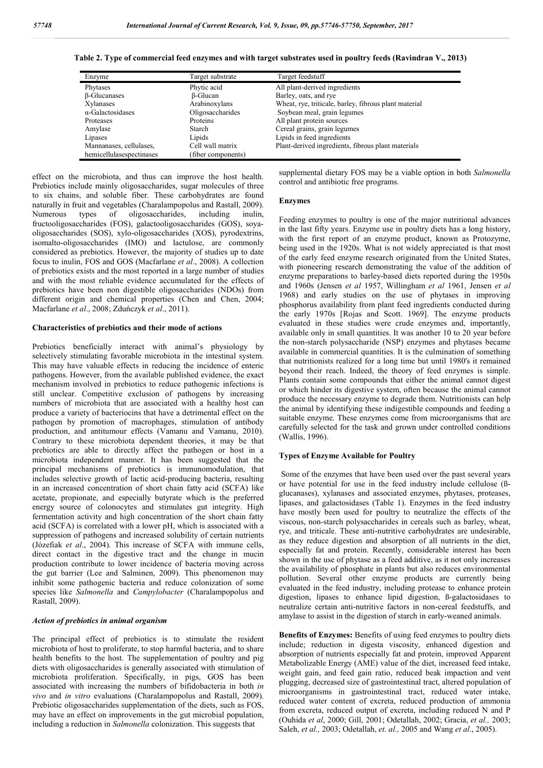| Enzyme                   | Target substrate   | Target feedstuff                                      |
|--------------------------|--------------------|-------------------------------------------------------|
| Phytases                 | Phytic acid        | All plant-derived ingredients                         |
| <b>B-Glucanases</b>      | β-Glucan           | Barley, oats, and rye                                 |
| Xylanases                | Arabinoxylans      | Wheat, rye, triticale, barley, fibrous plant material |
| $\alpha$ -Galactosidases | Oligosaccharides   | Soybean meal, grain legumes                           |
| Proteases                | Proteins           | All plant protein sources                             |
| Amylase                  | Starch             | Cereal grains, grain legumes                          |
| Lipases                  | Lipids             | Lipids in feed ingredients                            |
| Mannanases, cellulases,  | Cell wall matrix   | Plant-derived ingredients, fibrous plant materials    |
| hemicellulasespectinases | (fiber components) |                                                       |

**Table 2. Type of commercial feed enzymes and with target substrates used in poultry feeds (Ravindran V., 2013)**

effect on the microbiota, and thus can improve the host health. Prebiotics include mainly oligosaccharides, sugar molecules of three to six chains, and soluble fiber. These carbohydrates are found naturally in fruit and vegetables (Charalampopolus and Rastall, 2009). Numerous types of oligosaccharides, including inulin, fructooligosaccharides (FOS), galactooligosaccharides (GOS), soyaoligosaccharides (SOS), xylo-oligosaccharides (XOS), pyrodextrins, isomalto-oligosaccharides (IMO) and lactulose, are commonly considered as prebiotics. However, the majority of studies up to date focus to inulin, FOS and GOS (Macfarlane *et al*., 2008). A collection of prebiotics exists and the most reported in a large number of studies and with the most reliable evidence accumulated for the effects of prebiotics have been non digestible oligosaccharides (NDOs) from different origin and chemical properties (Chen and Chen, 2004; Macfarlane *et al*., 2008; Zduńczyk *et al*., 2011).

## **Characteristics of prebiotics and their mode of actions**

Prebiotics beneficially interact with animal's physiology by selectively stimulating favorable microbiota in the intestinal system. This may have valuable effects in reducing the incidence of enteric pathogens. However, from the available published evidence, the exact mechanism involved in prebiotics to reduce pathogenic infections is still unclear. Competitive exclusion of pathogens by increasing numbers of microbiota that are associated with a healthy host can produce a variety of bacteriocins that have a detrimental effect on the pathogen by promotion of macrophages, stimulation of antibody production, and antitumour effects (Vamanu and Vamanu, 2010). Contrary to these microbiota dependent theories, it may be that prebiotics are able to directly affect the pathogen or host in a microbiota independent manner. It has been suggested that the principal mechanisms of prebiotics is immunomodulation, that includes selective growth of lactic acid-producing bacteria, resulting in an increased concentration of short chain fatty acid (SCFA) like acetate, propionate, and especially butyrate which is the preferred energy source of colonocytes and stimulates gut integrity. High fermentation activity and high concentration of the short chain fatty acid (SCFA) is correlated with a lower pH, which is associated with a suppression of pathogens and increased solubility of certain nutrients (Józefiak *et al*., 2004). This increase of SCFA with immune cells, direct contact in the digestive tract and the change in mucin production contribute to lower incidence of bacteria moving across the gut barrier (Lee and Salminen, 2009). This phenomenon may inhibit some pathogenic bacteria and reduce colonization of some species like *Salmonella* and *Campylobacter* (Charalampopolus and Rastall, 2009).

#### *Action of prebiotics in animal organism*

The principal effect of prebiotics is to stimulate the resident microbiota of host to proliferate, to stop harmful bacteria, and to share health benefits to the host. The supplementation of poultry and pig diets with oligosaccharides is generally associated with stimulation of microbiota proliferation. Specifically, in pigs, GOS has been associated with increasing the numbers of bifidobacteria in both *in vivo* and *in vitro* evaluations (Charalampopolus and Rastall, 2009). Prebiotic oligosaccharides supplementation of the diets, such as FOS, may have an effect on improvements in the gut microbial population, including a reduction in *Salmonella* colonization. This suggests that

supplemental dietary FOS may be a viable option in both *Salmonella* control and antibiotic free programs.

#### **Enzymes**

Feeding enzymes to poultry is one of the major nutritional advances in the last fifty years. Enzyme use in poultry diets has a long history, with the first report of an enzyme product, known as Protozyme, being used in the 1920s. What is not widely appreciated is that most of the early feed enzyme research originated from the United States, with pioneering research demonstrating the value of the addition of enzyme preparations to barley-based diets reported during the 1950s and 1960s (Jensen *et al* 1957, Willingham *et al* 1961, Jensen *et al* 1968) and early studies on the use of phytases in improving phosphorus availability from plant feed ingredients conducted during the early 1970s [Rojas and Scott. 1969]. The enzyme products evaluated in these studies were crude enzymes and, importantly, available only in small quantities. It was another 10 to 20 year before the non-starch polysaccharide (NSP) enzymes and phytases became available in commercial quantities. It is the culmination of something that nutritionists realized for a long time but until 1980's it remained beyond their reach. Indeed, the theory of feed enzymes is simple. Plants contain some compounds that either the animal cannot digest or which hinder its digestive system, often because the animal cannot produce the necessary enzyme to degrade them. Nutritionists can help the animal by identifying these indigestible compounds and feeding a suitable enzyme. These enzymes come from microorganisms that are carefully selected for the task and grown under controlled conditions (Wallis, 1996).

## **Types of Enzyme Available for Poultry**

Some of the enzymes that have been used over the past several years or have potential for use in the feed industry include cellulose (ßglucanases), xylanases and associated enzymes, phytases, proteases, lipases, and galactosidases (Table 1). Enzymes in the feed industry have mostly been used for poultry to neutralize the effects of the viscous, non-starch polysaccharides in cereals such as barley, wheat, rye, and triticale. These anti-nutritive carbohydrates are undesirable, as they reduce digestion and absorption of all nutrients in the diet, especially fat and protein. Recently, considerable interest has been shown in the use of phytase as a feed additive, as it not only increases the availability of phosphate in plants but also reduces environmental pollution. Several other enzyme products are currently being evaluated in the feed industry, including protease to enhance protein digestion, lipases to enhance lipid digestion, ß-galactosidases to neutralize certain anti-nutritive factors in non-cereal feedstuffs, and amylase to assist in the digestion of starch in early-weaned animals.

**Benefits of Enzymes:** Benefits of using feed enzymes to poultry diets include; reduction in digesta viscosity, enhanced digestion and absorption of nutrients especially fat and protein, improved Apparent Metabolizable Energy (AME) value of the diet, increased feed intake, weight gain, and feed gain ratio, reduced beak impaction and vent plugging, decreased size of gastrointestinal tract, altered population of microorganisms in gastrointestinal tract, reduced water intake, reduced water content of excreta, reduced production of ammonia from excreta, reduced output of excreta, including reduced N and P (Ouhida *et al*, 2000; Gill, 2001; Odetallah, 2002; Gracia, *et al.,* 2003; Saleh, *et al.,* 2003; Odetallah, *et. al.,* 2005 and Wang *et al*., 2005).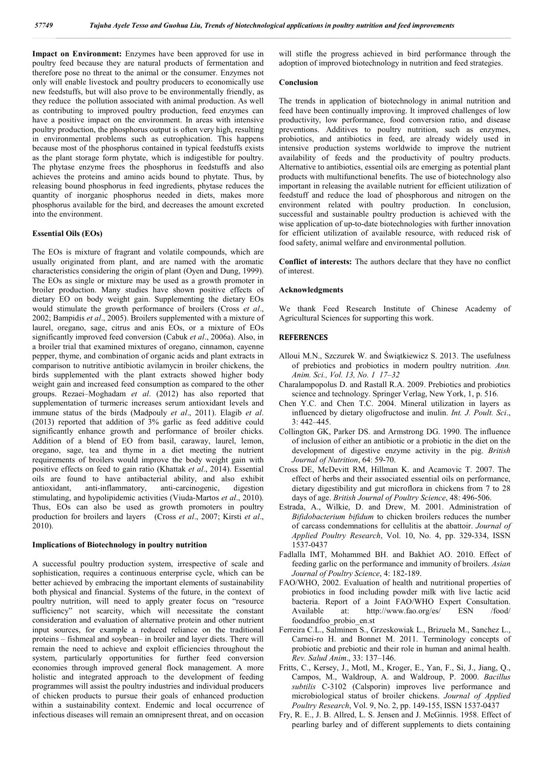**Impact on Environment:** Enzymes have been approved for use in poultry feed because they are natural products of fermentation and therefore pose no threat to the animal or the consumer. Enzymes not only will enable livestock and poultry producers to economically use new feedstuffs, but will also prove to be environmentally friendly, as they reduce the pollution associated with animal production. As well as contributing to improved poultry production, feed enzymes can have a positive impact on the environment. In areas with intensive poultry production, the phosphorus output is often very high, resulting in environmental problems such as eutrophication. This happens because most of the phosphorus contained in typical feedstuffs exists as the plant storage form phytate, which is indigestible for poultry. The phytase enzyme frees the phosphorus in feedstuffs and also achieves the proteins and amino acids bound to phytate. Thus, by releasing bound phosphorus in feed ingredients, phytase reduces the quantity of inorganic phosphorus needed in diets, makes more phosphorus available for the bird, and decreases the amount excreted into the environment.

# **Essential Oils (EOs)**

The EOs is mixture of fragrant and volatile compounds, which are usually originated from plant, and are named with the aromatic characteristics considering the origin of plant (Oyen and Dung, 1999). The EOs as single or mixture may be used as a growth promoter in broiler production. Many studies have shown positive effects of dietary EO on body weight gain. Supplementing the dietary EOs would stimulate the growth performance of broilers (Cross *et al*., 2002; Bampidis *et al*., 2005). Broilers supplemented with a mixture of laurel, oregano, sage, citrus and anis EOs, or a mixture of EOs significantly improved feed conversion (Cabuk *et al*., 2006a). Also, in a broiler trial that examined mixtures of oregano, cinnamon, cayenne pepper, thyme, and combination of organic acids and plant extracts in comparison to nutritive antibiotic avilamycin in broiler chickens, the birds supplemented with the plant extracts showed higher body weight gain and increased feed consumption as compared to the other groups. Rezaei–Moghadam *et al*. (2012) has also reported that supplementation of turmeric increases serum antioxidant levels and immune status of the birds (Madpouly *et al*., 2011). Elagib *et al*. (2013) reported that addition of 3% garlic as feed additive could significantly enhance growth and performance of broiler chicks. Addition of a blend of EO from basil, caraway, laurel, lemon, oregano, sage, tea and thyme in a diet meeting the nutrient requirements of broilers would improve the body weight gain with positive effects on feed to gain ratio (Khattak *et al*., 2014). Essential oils are found to have antibacterial ability, and also exhibit antioxidant, anti-inflammatory, anti-carcinogenic, digestion stimulating, and hypolipidemic activities (Viuda-Martos *et al*., 2010). Thus, EOs can also be used as growth promoters in poultry production for broilers and layers (Cross *et al*., 2007; Kirsti *et al*., 2010).

## **Implications of Biotechnology in poultry nutrition**

A successful poultry production system, irrespective of scale and sophistication, requires a continuous enterprise cycle, which can be better achieved by embracing the important elements of sustainability both physical and financial. Systems of the future, in the context of poultry nutrition, will need to apply greater focus on "resource sufficiency" not scarcity, which will necessitate the constant consideration and evaluation of alternative protein and other nutrient input sources, for example a reduced reliance on the traditional proteins – fishmeal and soybean– in broiler and layer diets. There will remain the need to achieve and exploit efficiencies throughout the system, particularly opportunities for further feed conversion economies through improved general flock management. A more holistic and integrated approach to the development of feeding programmes will assist the poultry industries and individual producers of chicken products to pursue their goals of enhanced production within a sustainability context. Endemic and local occurrence of infectious diseases will remain an omnipresent threat, and on occasion

will stifle the progress achieved in bird performance through the adoption of improved biotechnology in nutrition and feed strategies.

## **Conclusion**

The trends in application of biotechnology in animal nutrition and feed have been continually improving. It improved challenges of low productivity, low performance, food conversion ratio, and disease preventions. Additives to poultry nutrition, such as enzymes, probiotics, and antibiotics in feed, are already widely used in intensive production systems worldwide to improve the nutrient availability of feeds and the productivity of poultry products. Alternative to antibiotics, essential oils are emerging as potential plant products with multifunctional benefits. The use of biotechnology also important in releasing the available nutrient for efficient utilization of feedstuff and reduce the load of phosphorous and nitrogen on the environment related with poultry production. In conclusion, successful and sustainable poultry production is achieved with the wise application of up-to-date biotechnologies with further innovation for efficient utilization of available resource, with reduced risk of food safety, animal welfare and environmental pollution.

**Conflict of interests:** The authors declare that they have no conflict of interest.

### **Acknowledgments**

We thank Feed Research Institute of Chinese Academy of Agricultural Sciences for supporting this work.

#### **REFERENCES**

- Alloui M.N., Szczurek W. and Świątkiewicz S. 2013. The usefulness of prebiotics and probiotics in modern poultry nutrition. *Ann. Anim. Sci., Vol. 13, No. 1 17–32*
- Charalampopolus D. and Rastall R.A. 2009. Prebiotics and probiotics science and technology. Springer Verlag, New York, 1, p. 516.
- Chen Y.C. and Chen T.C. 2004. Mineral utilization in layers as influenced by dietary oligofructose and inulin. *Int. J. Poult. Sci*.,  $3.442 - 445$
- Collington GK, Parker DS. and Armstrong DG. 1990. The influence of inclusion of either an antibiotic or a probiotic in the diet on the development of digestive enzyme activity in the pig. *British Journal of Nutrition*, 64: 59-70.
- Cross DE, McDevitt RM, Hillman K. and Acamovic T. 2007. The effect of herbs and their associated essential oils on performance, dietary digestibility and gut microflora in chickens from 7 to 28 days of age. *British Journal of Poultry Science*, 48: 496-506.
- Estrada, A., Wilkie, D. and Drew, M. 2001. Administration of *Bifidobacterium bifidum* to chicken broilers reduces the number of carcass condemnations for cellulitis at the abattoir. *Journal of Applied Poultry Research*, Vol. 10, No. 4, pp. 329-334, ISSN 1537-0437
- Fadlalla IMT, Mohammed BH. and Bakhiet AO. 2010. Effect of feeding garlic on the performance and immunity of broilers. *Asian Journal of Poultry Science*, 4: 182-189.
- FAO/WHO, 2002. Evaluation of health and nutritional properties of probiotics in food including powder milk with live lactic acid bacteria. Report of a Joint FAO/WHO Expert Consultation. Available at: http://www.fao.org/es/ ESN /food/ foodandfoo\_probio\_en.st
- Ferreira C.L., Salminen S., Grzeskowiak L., Brizuela M., Sanchez L., Carnei-ro H. and Bonnet M. 2011. Terminology concepts of probiotic and prebiotic and their role in human and animal health. *Rev. Salud Anim*., 33: 137–146.
- Fritts, C., Kersey, J., Motl, M., Kroger, E., Yan, F., Si, J., Jiang, Q., Campos, M., Waldroup, A. and Waldroup, P. 2000. *Bacillus subtilis* C-3102 (Calsporin) improves live performance and microbiological status of broiler chickens. *Journal of Applied Poultry Research*, Vol. 9, No. 2, pp. 149-155, ISSN 1537-0437
- Fry, R. E., J. B. Allred, L. S. Jensen and J. McGinnis. 1958. Effect of pearling barley and of different supplements to diets containing